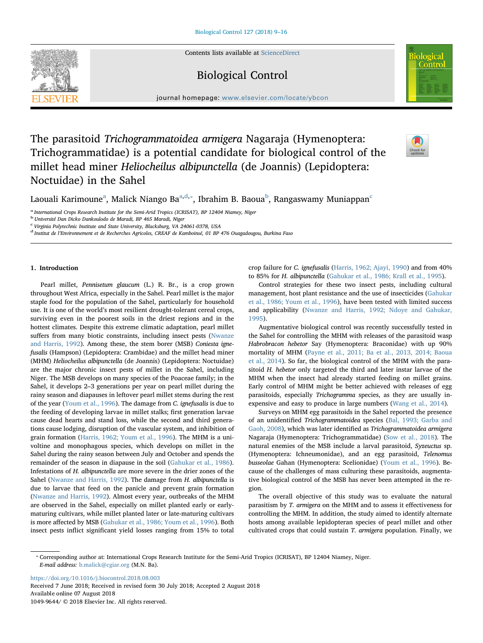Contents lists available at [ScienceDirect](http://www.sciencedirect.com/science/journal/10499644)

Biological Control



journal homepage: [www.elsevier.com/locate/ybcon](https://www.elsevier.com/locate/ybcon)

# The parasitoid Trichogrammatoidea armigera Nagaraja (Hymenoptera: Trichogrammatidae) is a potential candidate for biological control of the millet head miner Heliocheilus albipunctella (de Joannis) (Lepidoptera: Noctuidae) in the Sahel



L[a](#page-0-0)ouali Karimoune $^{\rm a}$ , Mali[c](#page-0-4)k Niango Ba $^{\rm a,d,*}$  $^{\rm a,d,*}$  $^{\rm a,d,*}$ , I[b](#page-0-3)rahim B. Baoua $^{\rm b}$ , Rangaswamy Muniappan $^{\rm c}$ 

<span id="page-0-0"></span><sup>a</sup> International Crops Research Institute for the Semi-Arid Tropics (ICRISAT), BP 12404 Niamey, Niger

<span id="page-0-3"></span><sup>b</sup> Université Dan Dicko Dankoulodo de Maradi, BP 465 Maradi, Niger

<span id="page-0-4"></span><sup>c</sup> Virginia Polytechnic Institute and State University, Blacksburg, VA 24061-0378, USA

<span id="page-0-1"></span><sup>d</sup> Institut de l'Environnement et de Recherches Agricoles, CREAF de Kamboinsé, 01 BP 476 Ouagadougou, Burkina Faso

# 1. Introduction

Pearl millet, Pennisetum glaucum (L.) R. Br., is a crop grown throughout West Africa, especially in the Sahel. Pearl millet is the major staple food for the population of the Sahel, particularly for household use. It is one of the world's most resilient drought-tolerant cereal crops, surviving even in the poorest soils in the driest regions and in the hottest climates. Despite this extreme climatic adaptation, pearl millet suffers from many biotic constraints, including insect pests ([Nwanze](#page-7-0) [and Harris, 1992](#page-7-0)). Among these, the stem borer (MSB) Coniesta ignefusalis (Hampson) (Lepidoptera: Crambidae) and the millet head miner (MHM) Heliocheilus albipunctella (de Joannis) (Lepidoptera: Noctuidae) are the major chronic insect pests of millet in the Sahel, including Niger. The MSB develops on many species of the Poaceae family; in the Sahel, it develops 2–3 generations per year on pearl millet during the rainy season and diapauses in leftover pearl millet stems during the rest of the year [\(Youm et al., 1996](#page-7-1)). The damage from C. ignefusalis is due to the feeding of developing larvae in millet stalks; first generation larvae cause dead hearts and stand loss, while the second and third generations cause lodging, disruption of the vascular system, and inhibition of grain formation [\(Harris, 1962; Youm et al., 1996](#page-6-0)). The MHM is a univoltine and monophagous species, which develops on millet in the Sahel during the rainy season between July and October and spends the remainder of the season in diapause in the soil [\(Gahukar et al., 1986](#page-6-1)). Infestations of H. albipunctella are more severe in the drier zones of the Sahel [\(Nwanze and Harris, 1992\)](#page-7-0). The damage from H. albipunctella is due to larvae that feed on the panicle and prevent grain formation ([Nwanze and Harris, 1992](#page-7-0)). Almost every year, outbreaks of the MHM are observed in the Sahel, especially on millet planted early or earlymaturing cultivars, while millet planted later or late-maturing cultivars is more affected by MSB ([Gahukar et al., 1986; Youm et al., 1996\)](#page-6-1). Both insect pests inflict significant yield losses ranging from 15% to total crop failure for C. ignefusalis ([Harris, 1962; Ajayi, 1990\)](#page-6-0) and from 40% to 85% for H. albipunctella [\(Gahukar et al., 1986; Krall et al., 1995](#page-6-1)).

Control strategies for these two insect pests, including cultural management, host plant resistance and the use of insecticides ([Gahukar](#page-6-1) [et al., 1986; Youm et al., 1996](#page-6-1)), have been tested with limited success and applicability [\(Nwanze and Harris, 1992; Ndoye and Gahukar,](#page-7-0) [1995\)](#page-7-0).

Augmentative biological control was recently successfully tested in the Sahel for controlling the MHM with releases of the parasitoid wasp Habrobracon hebetor Say (Hymenoptera: Braconidae) with up 90% mortality of MHM [\(Payne et al., 2011; Ba et al., 2013, 2014; Baoua](#page-7-2) [et al., 2014\)](#page-7-2). So far, the biological control of the MHM with the parasitoid H. hebetor only targeted the third and later instar larvae of the MHM when the insect had already started feeding on millet grains. Early control of MHM might be better achieved with releases of egg parasitoids, especially Trichogramma species, as they are usually inexpensive and easy to produce in large numbers [\(Wang et al., 2014](#page-7-3)).

Surveys on MHM egg parasitoids in the Sahel reported the presence of an unidentified Trichogrammatoidea species [\(Bal, 1993; Garba and](#page-6-2) [Gaoh, 2008](#page-6-2)), which was later identified as Trichogrammatoidea armigera Nagaraja (Hymenoptera: Trichogrammatidae) [\(Sow et al., 2018](#page-7-4)). The natural enemies of the MSB include a larval parasitoid, Syzeuctus sp. (Hymenoptera: Ichneumonidae), and an egg parasitoid, Telenomus busseolae Gahan (Hymenoptera: Scelionidae) ([Youm et al., 1996](#page-7-1)). Because of the challenges of mass culturing these parasitoids, augmentative biological control of the MSB has never been attempted in the region.

The overall objective of this study was to evaluate the natural parasitism by T. armigera on the MHM and to assess it effectiveness for controlling the MHM. In addition, the study aimed to identify alternate hosts among available lepidopteran species of pearl millet and other cultivated crops that could sustain T. armigera population. Finally, we

<https://doi.org/10.1016/j.biocontrol.2018.08.003>

Received 7 June 2018; Received in revised form 30 July 2018; Accepted 2 August 2018 Available online 07 August 2018 1049-9644/ © 2018 Elsevier Inc. All rights reserved.

<span id="page-0-2"></span><sup>⁎</sup> Corresponding author at: International Crops Research Institute for the Semi-Arid Tropics (ICRISAT), BP 12404 Niamey, Niger. E-mail address: [b.malick@cgiar.org](mailto:b.malick@cgiar.org) (M.N. Ba).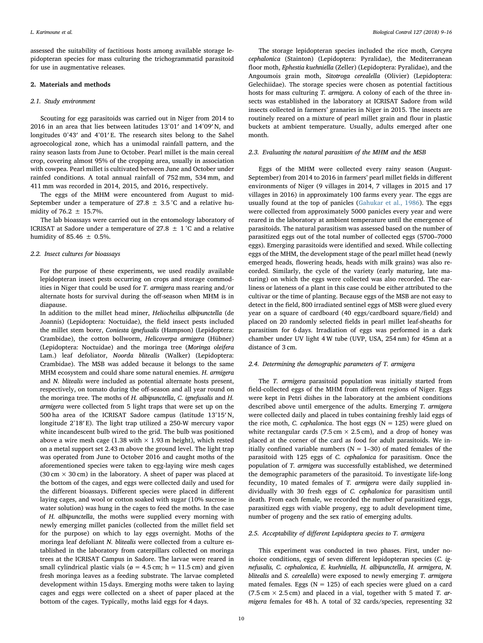assessed the suitability of factitious hosts among available storage lepidopteran species for mass culturing the trichogrammatid parasitoid for use in augmentative releases.

#### 2. Materials and methods

#### 2.1. Study environment

Scouting for egg parasitoids was carried out in Niger from 2014 to 2016 in an area that lies between latitudes 13°01′ and 14°09′ N, and longitudes 0°43′ and 4°01′ E. The research sites belong to the Sahel agroecological zone, which has a unimodal rainfall pattern, and the rainy season lasts from June to October. Pearl millet is the main cereal crop, covering almost 95% of the cropping area, usually in association with cowpea. Pearl millet is cultivated between June and October under rainfed conditions. A total annual rainfall of 752 mm, 534 mm, and 411 mm was recorded in 2014, 2015, and 2016, respectively.

The eggs of the MHM were encountered from August to mid-September under a temperature of  $27.8 \pm 3.5$  °C and a relative humidity of 76.2  $\pm$  15.7%.

The lab bioassays were carried out in the entomology laboratory of ICRISAT at Sadore under a temperature of 27.8  $\pm$  1 °C and a relative humidity of 85.46  $\pm$  0.5%.

# 2.2. Insect cultures for bioassays

For the purpose of these experiments, we used readily available lepidopteran insect pests occurring on crops and storage commodities in Niger that could be used for T. armigera mass rearing and/or alternate hosts for survival during the off-season when MHM is in diapause.

In addition to the millet head miner, Heliocheilus albipunctella (de Joannis) (Lepidoptera: Noctuidae), the field insect pests included the millet stem borer, Coniesta ignefusalis (Hampson) (Lepidoptera: Crambidae), the cotton bollworm, Helicoverpa armigera (Hübner) (Lepidoptera: Noctuidae) and the moringa tree (Moringa oleifera Lam.) leaf defoliator, Noorda blitealis (Walker) (Lepidoptera: Crambidae). The MSB was added because it belongs to the same MHM ecosystem and could share some natural enemies. H. armigera and N. blitealis were included as potential alternate hosts present, respectively, on tomato during the off-season and all year round on the moringa tree. The moths of H. albipunctella, C. ignefusalis and H. armigera were collected from 5 light traps that were set up on the 500 ha area of the ICRISAT Sadore campus (latitude 13°15′ N, longitude 2°18′ E). The light trap utilized a 250-W mercury vapor white incandescent bulb wired to the grid. The bulb was positioned above a wire mesh cage (1.38 with  $\times$  1.93 m height), which rested on a metal support set 2.43 m above the ground level. The light trap was operated from June to October 2016 and caught moths of the aforementioned species were taken to egg-laying wire mesh cages (30 cm  $\times$  30 cm) in the laboratory. A sheet of paper was placed at the bottom of the cages, and eggs were collected daily and used for the different bioassays. Different species were placed in different laying cages, and wool or cotton soaked with sugar (10% sucrose in water solution) was hung in the cages to feed the moths. In the case of H. albipunctella, the moths were supplied every morning with newly emerging millet panicles (collected from the millet field set for the purpose) on which to lay eggs overnight. Moths of the moringa leaf defoliant N. blitealis were collected from a culture established in the laboratory from caterpillars collected on moringa trees at the ICRISAT Campus in Sadore. The larvae were reared in small cylindrical plastic vials ( $\varphi = 4.5$  cm; h = 11.5 cm) and given fresh moringa leaves as a feeding substrate. The larvae completed development within 15 days. Emerging moths were taken to laying cages and eggs were collected on a sheet of paper placed at the bottom of the cages. Typically, moths laid eggs for 4 days.

The storage lepidopteran species included the rice moth, Corcyra cephalonica (Stainton) (Lepidoptera: Pyralidae), the Mediterranean floor moth, Ephestia kuehniella (Zeller) (Lepidoptera: Pyralidae), and the Angoumois grain moth, Sitotroga cerealella (Olivier) (Lepidoptera: Gelechiidae). The storage species were chosen as potential factitious hosts for mass culturing T. armigera. A colony of each of the three insects was established in the laboratory at ICRISAT Sadore from wild insects collected in farmers' granaries in Niger in 2015. The insects are routinely reared on a mixture of pearl millet grain and flour in plastic buckets at ambient temperature. Usually, adults emerged after one month.

#### 2.3. Evaluating the natural parasitism of the MHM and the MSB

Eggs of the MHM were collected every rainy season (August-September) from 2014 to 2016 in farmers' pearl millet fields in different environments of Niger (9 villages in 2014, 7 villages in 2015 and 17 villages in 2016) in approximately 100 farms every year. The eggs are usually found at the top of panicles [\(Gahukar et al., 1986](#page-6-1)). The eggs were collected from approximately 5000 panicles every year and were reared in the laboratory at ambient temperature until the emergence of parasitoids. The natural parasitism was assessed based on the number of parasitized eggs out of the total number of collected eggs (5700–7000 eggs). Emerging parasitoids were identified and sexed. While collecting eggs of the MHM, the development stage of the pearl millet head (newly emerged heads, flowering heads, heads with milk grains) was also recorded. Similarly, the cycle of the variety (early maturing, late maturing) on which the eggs were collected was also recorded. The earliness or lateness of a plant in this case could be either attributed to the cultivar or the time of planting. Because eggs of the MSB are not easy to detect in the field, 800 irradiated sentinel eggs of MSB were glued every year on a square of cardboard (40 eggs/cardboard square/field) and placed on 20 randomly selected fields in pearl millet leaf-sheaths for parasitism for 6 days. Irradiation of eggs was performed in a dark chamber under UV light 4 W tube (UVP, USA, 254 nm) for 45mn at a distance of 3 cm.

# 2.4. Determining the demographic parameters of T. armigera

The T. armigera parasitoid population was initially started from field-collected eggs of the MHM from different regions of Niger. Eggs were kept in Petri dishes in the laboratory at the ambient conditions described above until emergence of the adults. Emerging T. armigera were collected daily and placed in tubes containing freshly laid eggs of the rice moth, C. cephalonica. The host eggs  $(N = 125)$  were glued on white rectangular cards (7.5 cm  $\times$  2.5 cm), and a drop of honey was placed at the corner of the card as food for adult parasitoids. We initially confined variable numbers  $(N = 1-30)$  of mated females of the parasitoid with 125 eggs of C. cephalonica for parasitism. Once the population of T. armigera was successfully established, we determined the demographic parameters of the parasitoid. To investigate life-long fecundity, 10 mated females of T. armigera were daily supplied individually with 30 fresh eggs of C. cephalonica for parasitism until death. From each female, we recorded the number of parasitized eggs, parasitized eggs with viable progeny, egg to adult development time, number of progeny and the sex ratio of emerging adults.

# 2.5. Acceptability of different Lepidoptera species to T. armigera

This experiment was conducted in two phases. First, under nochoice conditions, eggs of seven different lepidopteran species (C. ignefusalis, C. cephalonica, E. kuehniella, H. albipunctella, H. armigera, N. blitealis and S. cerealella) were exposed to newly emerging T. armigera mated females. Eggs ( $N = 125$ ) of each species were glued on a card (7.5 cm  $\times$  2.5 cm) and placed in a vial, together with 5 mated T. armigera females for 48 h. A total of 32 cards/species, representing 32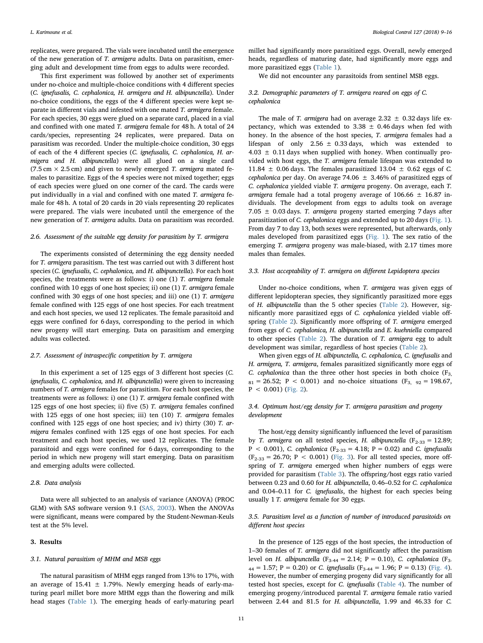replicates, were prepared. The vials were incubated until the emergence of the new generation of T. armigera adults. Data on parasitism, emerging adult and development time from eggs to adults were recorded.

This first experiment was followed by another set of experiments under no-choice and multiple-choice conditions with 4 different species (C. ignefusalis, C. cephalonica, H. armigera and H. albipunctella). Under no-choice conditions, the eggs of the 4 different species were kept separate in different vials and infested with one mated T. armigera female. For each species, 30 eggs were glued on a separate card, placed in a vial and confined with one mated T. armigera female for 48 h. A total of 24 cards/species, representing 24 replicates, were prepared. Data on parasitism was recorded. Under the multiple-choice condition, 30 eggs of each of the 4 different species (C. ignefusalis, C. cephalonica, H. armigera and H. albipunctella) were all glued on a single card (7.5 cm  $\times$  2.5 cm) and given to newly emerged T. armigera mated females to parasitize. Eggs of the 4 species were not mixed together; eggs of each species were glued on one corner of the card. The cards were put individually in a vial and confined with one mated T. armigera female for 48 h. A total of 20 cards in 20 vials representing 20 replicates were prepared. The vials were incubated until the emergence of the new generation of T. armigera adults. Data on parasitism was recorded.

# 2.6. Assessment of the suitable egg density for parasitism by T. armigera

The experiments consisted of determining the egg density needed for T. armigera parasitism. The test was carried out with 3 different host species (C. ignefusalis, C. cephalonica, and H. albipunctella). For each host species, the treatments were as follows: i) one (1) T. armigera female confined with 10 eggs of one host species; ii) one (1) T. armigera female confined with 30 eggs of one host species; and iii) one (1) T. armigera female confined with 125 eggs of one host species. For each treatment and each host species, we used 12 replicates. The female parasitoid and eggs were confined for 6 days, corresponding to the period in which new progeny will start emerging. Data on parasitism and emerging adults was collected.

#### 2.7. Assessment of intraspecific competition by T. armigera

In this experiment a set of 125 eggs of 3 different host species (C. ignefusalis, C. cephalonica, and H. albipunctella) were given to increasing numbers of T. armigera females for parasitism. For each host species, the treatments were as follows: i) one (1) T. armigera female confined with 125 eggs of one host species; ii) five (5) T. armigera females confined with 125 eggs of one host species; iii) ten (10) T. armigera females confined with 125 eggs of one host species; and iv) thirty (30) T. armigera females confined with 125 eggs of one host species. For each treatment and each host species, we used 12 replicates. The female parasitoid and eggs were confined for 6 days, corresponding to the period in which new progeny will start emerging. Data on parasitism and emerging adults were collected.

# 2.8. Data analysis

Data were all subjected to an analysis of variance (ANOVA) (PROC GLM) with SAS software version 9.1 [\(SAS, 2003\)](#page-7-5). When the ANOVAs were significant, means were compared by the Student-Newman-Keuls test at the 5% level.

#### 3. Results

#### 3.1. Natural parasitism of MHM and MSB eggs

The natural parasitism of MHM eggs ranged from 13% to 17%, with an average of  $15.41 \pm 1.79$ %. Newly emerging heads of early-maturing pearl millet bore more MHM eggs than the flowering and milk head stages [\(Table 1](#page-3-0)). The emerging heads of early-maturing pearl

millet had significantly more parasitized eggs. Overall, newly emerged heads, regardless of maturing date, had significantly more eggs and more parasitized eggs ([Table 1](#page-3-0)).

We did not encounter any parasitoids from sentinel MSB eggs.

### 3.2. Demographic parameters of T. armigera reared on eggs of C. cephalonica

The male of T. armigera had on average 2.32  $\pm$  0.32 days life expectancy, which was extended to  $3.38 \pm 0.46$  days when fed with honey. In the absence of the host species, T. armigera females had a lifespan of only 2.56  $\pm$  0.33 days, which was extended to  $4.03 \pm 0.11$  days when supplied with honey. When continually provided with host eggs, the T. armigera female lifespan was extended to 11.84  $\pm$  0.06 days. The females parasitized 13.04  $\pm$  0.62 eggs of C. cephalonica per day. On average 74.06  $\pm$  3.46% of parasitized eggs of C. cephalonica yielded viable T. armigera progeny. On average, each T. armigera female had a total progeny average of  $106.66 \pm 16.87$  individuals. The development from eggs to adults took on average 7.05  $\pm$  0.03 days. T. armigera progeny started emerging 7 days after parasitization of C. cephalonica eggs and extended up to 20 days ([Fig. 1](#page-3-1)). From day 7 to day 13, both sexes were represented, but afterwards, only males developed from parasitized eggs [\(Fig. 1\)](#page-3-1). The sex ratio of the emerging T. armigera progeny was male-biased, with 2.17 times more males than females.

# 3.3. Host acceptability of T. armigera on different Lepidoptera species

Under no-choice conditions, when T. armigera was given eggs of different lepidopteran species, they significantly parasitized more eggs of H. albipunctella than the 5 other species [\(Table 2\)](#page-3-2). However, significantly more parasitized eggs of C. cephalonica yielded viable offspring ([Table 2](#page-3-2)). Significantly more offspring of T. armigera emerged from eggs of C. cephalonica, H. albipunctella and E. kuehniella compared to other species [\(Table 2\)](#page-3-2). The duration of T. armigera egg to adult development was similar, regardless of host species ([Table 2](#page-3-2)).

When given eggs of H. albipunctella, C. cephalonica, C. ignefusalis and H. armigera, T. armigera, females parasitized significantly more eggs of C. cephalonica than the three other host species in both choice  $(F_3, F_4)$  $s_1 = 26.52$ ; P < 0.001) and no-choice situations (F<sub>3, 92</sub> = 198.67,  $P < 0.001$ ) [\(Fig. 2\)](#page-4-0).

# 3.4. Optimum host/egg density for T. armigera parasitism and progeny development

The host/egg density significantly influenced the level of parasitism by T. armigera on all tested species, H. albipunctella ( $F_{2-33} = 12.89$ ; P < 0.001), C. cephalonica (F<sub>2-33</sub> = 4.18; P = 0.02) and C. ignefusalis  $(F_{2-33} = 26.70; P < 0.001)$  ([Fig. 3\)](#page-4-1). For all tested species, more offspring of T. armigera emerged when higher numbers of eggs were provided for parasitism [\(Table 3\)](#page-4-2). The offspring/host eggs ratio varied between 0.23 and 0.60 for H. albipunctella, 0.46–0.52 for C. cephalonica and 0.04–0.11 for C. ignefusalis, the highest for each species being usually 1 T. armigera female for 30 eggs.

# 3.5. Parasitism level as a function of number of introduced parasitoids on different host species

In the presence of 125 eggs of the host species, the introduction of 1–30 females of T. armigera did not significantly affect the parasitism level on H. albipunctella (F<sub>3-44</sub> = 2.14; P = 0.10), C. cephalonica (F<sub>3-</sub>  $_{44}$  = 1.57; P = 0.20) or C. ignefusalis (F<sub>3-44</sub> = 1.96; P = 0.13) ([Fig. 4](#page-5-0)). However, the number of emerging progeny did vary significantly for all tested host species, except for C. ignefusalis ([Table 4\)](#page-5-1). The number of emerging progeny/introduced parental T. armigera female ratio varied between 2.44 and 81.5 for H. albipunctella, 1.99 and 46.33 for C.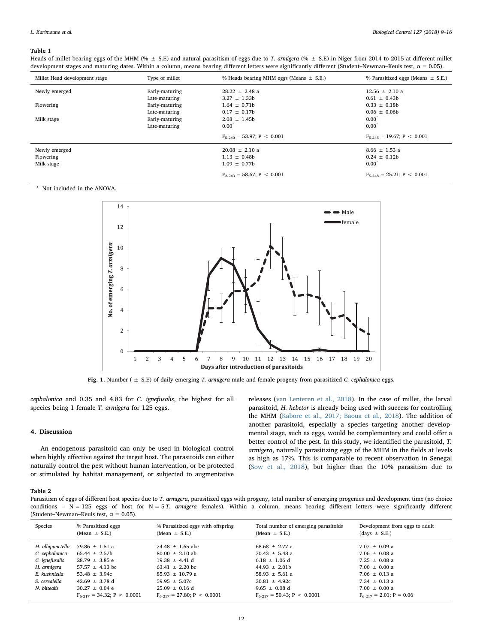#### <span id="page-3-0"></span>Table 1

Heads of millet bearing eggs of the MHM (%  $\pm$  S.E) and natural parasitism of eggs due to T. armigera (%  $\pm$  S.E) in Niger from 2014 to 2015 at different millet development stages and maturing dates. Within a column, means bearing different letters were significantly different (Student–Newman–Keuls test,  $\alpha$  = 0.05).

| Millet Head development stage | Type of millet | % Heads bearing MHM eggs (Means $\pm$ S.E.) | % Parasitized eggs (Means $\pm$ S.E.) |
|-------------------------------|----------------|---------------------------------------------|---------------------------------------|
| Newly emerged                 | Early-maturing | $28.22 \pm 2.48$ a                          | $12.56 \pm 2.10$ a                    |
|                               | Late-maturing  | $3.27 \pm 1.33b$                            | $0.61 \pm 0.43b$                      |
| Flowering                     | Early-maturing | $1.64 \pm 0.71b$                            | $0.33 \pm 0.18b$                      |
|                               | Late-maturing  | $0.17 \pm 0.17b$                            | $0.06 \pm 0.06$                       |
| Milk stage                    | Early-maturing | $2.08 \pm 1.45b$                            | $0.00^{\degree}$                      |
|                               | Late-maturing  | $0.00^{\degree}$                            | $0.00^{\degree}$                      |
|                               |                | $F_{5-240} = 53.97; P < 0.001$              | $F_{5-245} = 19.67$ ; P < 0.001       |
| Newly emerged                 |                | $20.08 \pm 2.10 a$                          | $8.66 \pm 1.53$ a                     |
| Flowering                     |                | $1.13 \pm 0.48b$                            | $0.24 \pm 0.12b$                      |
| Milk stage                    |                | $1.09 \pm 0.77b$                            | $0.00^{\degree}$                      |
|                               |                | $F_{2-243} = 58.67; P < 0.001$              | $F_{5-248} = 25.21$ ; P < 0.001       |

<span id="page-3-3"></span><span id="page-3-1"></span>\* Not included in the ANOVA.



Fig. 1. Number ( $\pm$  S.E) of daily emerging T. armigera male and female progeny from parasitized C. cephalonica eggs.

cephalonica and 0.35 and 4.83 for C. ignefusalis, the highest for all species being 1 female T. armigera for 125 eggs.

#### 4. Discussion

An endogenous parasitoid can only be used in biological control when highly effective against the target host. The parasitoids can either naturally control the pest without human intervention, or be protected or stimulated by habitat management, or subjected to augmentative

releases ([van Lenteren et al., 2018\)](#page-7-6). In the case of millet, the larval parasitoid, H. hebetor is already being used with success for controlling the MHM ([Kabore et al., 2017; Baoua et al., 2018](#page-6-3)). The addition of another parasitoid, especially a species targeting another developmental stage, such as eggs, would be complementary and could offer a better control of the pest. In this study, we identified the parasitoid, T. armigera, naturally parasitizing eggs of the MHM in the fields at levels as high as 17%. This is comparable to recent observation in Senegal ([Sow et al., 2018\)](#page-7-4), but higher than the 10% parasitism due to

#### <span id="page-3-2"></span>Table 2

Parasitism of eggs of different host species due to T. armigera, parasitized eggs with progeny, total number of emerging progenies and development time (no choice conditions -  $N = 125$  eggs of host for  $N = 5$  T. armigera females). Within a column, means bearing different letters were significantly different (Student–Newman–Keuls test,  $\alpha = 0.05$ ).

| Species          | % Parasitized eggs<br>$(Mean \pm S.E.)$ | % Parasitized eggs with offspring<br>$(Mean \pm S.E.)$ | Total number of emerging parasitoids<br>$(Mean \pm S.E.)$ | Development from eggs to adult<br>$(days \pm S.E.)$ |
|------------------|-----------------------------------------|--------------------------------------------------------|-----------------------------------------------------------|-----------------------------------------------------|
| H. albipunctella | 79.86 $\pm$ 1.51 a                      | 74.48 $\pm$ 1.65 abc                                   | $68.68 \pm 2.77$ a                                        | $7.07 \pm 0.09$ a                                   |
| C. cephalonica   | $65.44 \pm 2.57b$                       | $80.00 \pm 2.10$ ab                                    | 70.43 $\pm$ 5.48 a                                        | $7.06 \pm 0.08$ a                                   |
| C. ignefusalis   | $28.79 \pm 3.85 e$                      | $19.38 \pm 4.41 \text{ d}$                             | $6.18 \pm 1.06$ d                                         | $7.25 \pm 0.08$ a                                   |
| H. armigera      | $57.57 \pm 4.13$ bc                     | 63.41 $\pm$ 2.20 bc                                    | $44.93 \pm 2.01b$                                         | $7.00 \pm 0.00 a$                                   |
| E. kuehniella    | 53.48 $\pm$ 3.94c                       | $85.93 \pm 10.79$ a                                    | $58.93 \pm 5.61$ a                                        | $7.06 \pm 0.13$ a                                   |
| S. cerealella    | $42.69 \pm 3.78 \text{ d}$              | $59.95 \pm 5.07c$                                      | $30.81 \pm 4.92c$                                         | 7.34 $\pm$ 0.13 a                                   |
| N. blitealis     | $30.27 \pm 0.04 e$                      | $25.09 \pm 0.16$ d                                     | $9.65 \pm 0.08$ d                                         | $7.00 \pm 0.00 a$                                   |
|                  | $F_{6-217} = 34.32$ ; P < 0.0001        | $F_{6,217} = 27.80$ ; P < 0.0001                       | $F_{6-217} = 50.43$ ; P < 0.0001                          | $F_{6,217} = 2.01$ ; P = 0.06                       |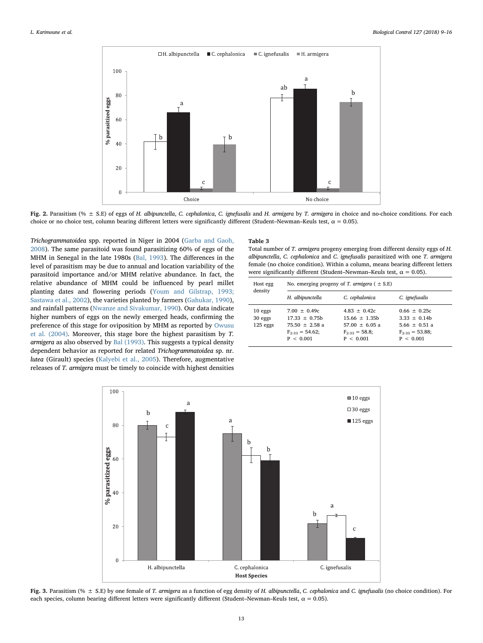<span id="page-4-0"></span>

Fig. 2. Parasitism (%  $\pm$  S.E) of eggs of H. albipunctella, C. cephalonica, C. ignefusalis and H. armigera by T. armigera in choice and no-choice conditions. For each choice or no choice test, column bearing different letters were significantly different (Student–Newman–Keuls test,  $\alpha = 0.05$ ).

Trichogrammatoidea spp. reported in Niger in 2004 [\(Garba and Gaoh,](#page-6-4) [2008\)](#page-6-4). The same parasitoid was found parasitizing 60% of eggs of the MHM in Senegal in the late 1980s ([Bal, 1993\)](#page-6-2). The differences in the level of parasitism may be due to annual and location variability of the parasitoid importance and/or MHM relative abundance. In fact, the relative abundance of MHM could be influenced by pearl millet planting dates and flowering periods [\(Youm and Gilstrap, 1993;](#page-7-7) [Sastawa et al., 2002\)](#page-7-7), the varieties planted by farmers [\(Gahukar, 1990](#page-6-5)), and rainfall patterns [\(Nwanze and Sivakumar, 1990\)](#page-7-8). Our data indicate higher numbers of eggs on the newly emerged heads, confirming the preference of this stage for oviposition by MHM as reported by [Owusu](#page-7-9) [et al. \(2004\).](#page-7-9) Moreover, this stage bore the highest parasitism by T. armigera as also observed by [Bal \(1993\).](#page-6-2) This suggests a typical density dependent behavior as reported for related Trichogrammatoidea sp. nr. lutea (Girault) species ([Kalyebi et al., 2005\)](#page-6-6). Therefore, augmentative releases of T. armigera must be timely to coincide with highest densities

### <span id="page-4-2"></span>Table 3

Total number of T. armigera progeny emerging from different density eggs of H. albipunctella, C. cephalonica and C. ignefusalis parasitized with one T. armigera female (no choice condition). Within a column, means bearing different letters were significantly different (Student–Newman–Keuls test,  $\alpha = 0.05$ ).

| Host egg<br>density                | No. emerging progeny of T. armigera ( $\pm$ S.E)                                           |                                                                                           |                                                                                            |  |
|------------------------------------|--------------------------------------------------------------------------------------------|-------------------------------------------------------------------------------------------|--------------------------------------------------------------------------------------------|--|
|                                    | H. albipunctella                                                                           | C. cephalonica                                                                            | C. ignefusalis                                                                             |  |
| $10$ eggs<br>30 eggs<br>$125$ eggs | $7.00 + 0.49c$<br>$17.33 + 0.75b$<br>$75.50 + 2.58$ a<br>$F_{2,33} = 54.62$ :<br>P < 0.001 | $4.83 + 0.42c$<br>$15.66 + 1.35b$<br>$57.00 + 6.05 a$<br>$F_{2-33} = 58.8$ ;<br>P < 0.001 | $0.66 + 0.25c$<br>$3.33 + 0.14b$<br>$5.66 \pm 0.51$ a<br>$F_{2,33} = 53.88$ ;<br>P < 0.001 |  |

<span id="page-4-1"></span>

Fig. 3. Parasitism (%  $\pm$  S.E) by one female of T. armigera as a function of egg density of H. albipunctella, C. cephalonica and C. ignefusalis (no choice condition). For each species, column bearing different letters were significantly different (Student–Newman–Keuls test,  $\alpha = 0.05$ ).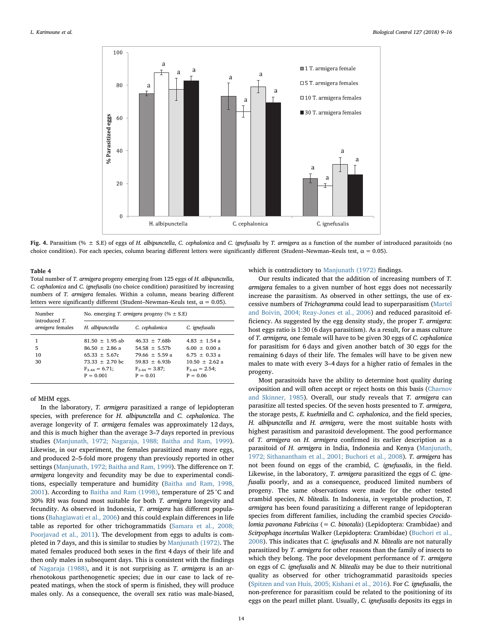<span id="page-5-0"></span>

Fig. 4. Parasitism (%  $\pm$  S.E) of eggs of H. albipunctella, C. cephalonica and C. ignefusalis by T. armigera as a function of the number of introduced parasitoids (no choice condition). For each species, column bearing different letters were significantly different (Student–Newman–Keuls test,  $\alpha = 0.05$ ).

#### <span id="page-5-1"></span>Table 4

Total number of T. armigera progeny emerging from 125 eggs of H. albipunctella, C. cephalonica and C. ignefusalis (no choice condition) parasitized by increasing numbers of T. armigera females. Within a column, means bearing different letters were significantly different (Student–Newman–Keuls test,  $\alpha = 0.05$ ).

| Number<br>introduced T.<br><i>armigera</i> females | No. emerging T. armigera progeny (% $\pm$ S.E)                                |                                                                           |                                                                           |  |
|----------------------------------------------------|-------------------------------------------------------------------------------|---------------------------------------------------------------------------|---------------------------------------------------------------------------|--|
|                                                    | H. albipunctella                                                              | C. cephalonica                                                            | C. ignefusalis                                                            |  |
| 5<br>10<br>30                                      | $81.50 + 1.95$ ab<br>$86.50 + 2.86$ a<br>$65.33 + 5.67c$<br>$73.33 + 2.70$ bc | $46.33 + 7.68b$<br>$54.58 + 5.57b$<br>$79.66 + 5.59 a$<br>$59.83 + 6.93b$ | $4.83 + 1.54$ a<br>$6.00 + 0.00 a$<br>$6.75 + 0.33 a$<br>$10.50 + 2.62 a$ |  |
|                                                    | $F_{3-44} = 6.71;$<br>$P = 0.001$                                             | $F_{3.44} = 3.87;$<br>$P = 0.01$                                          | $F_{3.44} = 2.54;$<br>$P = 0.06$                                          |  |

#### of MHM eggs.

In the laboratory, T. armigera parasitized a range of lepidopteran species, with preference for H. albipunctella and C. cephalonica. The average longevity of T. armigera females was approximately 12 days, and this is much higher than the average 3–7 days reported in previous studies ([Manjunath, 1972; Nagaraja, 1988; Baitha and Ram, 1999](#page-7-10)). Likewise, in our experiment, the females parasitized many more eggs, and produced 2–5-fold more progeny than previously reported in other settings [\(Manjunath, 1972; Baitha and Ram, 1999\)](#page-7-10). The difference on T. armigera longevity and fecundity may be due to experimental conditions, especially temperature and humidity ([Baitha and Ram, 1998,](#page-6-7) [2001\)](#page-6-7). According to [Baitha and Ram \(1998\),](#page-6-7) temperature of 25 °C and 30% RH was found most suitable for both T. armigera longevity and fecundity. As observed in Indonesia, T. armigera has different populations ([Bahagiawati et al., 2006](#page-6-8)) and this could explain differences in life table as reported for other trichogrammatids [\(Samara et al., 2008;](#page-7-11) [Poorjavad et al., 2011](#page-7-11)). The development from eggs to adults is completed in 7 days, and this is similar to studies by [Manjunath \(1972\)](#page-7-10). The mated females produced both sexes in the first 4 days of their life and then only males in subsequent days. This is consistent with the findings of [Nagaraja \(1988\),](#page-7-12) and it is not surprising as T. armigera is an arrhenotokous parthenogenetic species; due in our case to lack of repeated matings, when the stock of sperm is finished, they will produce males only. As a consequence, the overall sex ratio was male-biased,

which is contradictory to [Manjunath \(1972\)](#page-7-10) findings.

Our results indicated that the addition of increasing numbers of T. armigera females to a given number of host eggs does not necessarily increase the parasitism. As observed in other settings, the use of excessive numbers of Trichogramma could lead to superparasitism ([Martel](#page-7-13) [and Boivin, 2004; Reay-Jones et al., 2006](#page-7-13)) and reduced parasitoid efficiency. As suggested by the egg density study, the proper T. armigera: host eggs ratio is 1:30 (6 days parasitism). As a result, for a mass culture of T. armigera, one female will have to be given 30 eggs of C. cephalonica for parasitism for 6 days and given another batch of 30 eggs for the remaining 6 days of their life. The females will have to be given new males to mate with every 3–4 days for a higher ratio of females in the progeny.

Most parasitoids have the ability to determine host quality during oviposition and will often accept or reject hosts on this basis ([Charnov](#page-6-9) [and Skinner, 1985\)](#page-6-9). Overall, our study reveals that T. armigera can parasitize all tested species. Of the seven hosts presented to T. armigera, the storage pests, E. kuehniella and C. cephalonica, and the field species, H. albipunctella and H. armigera, were the most suitable hosts with highest parasitism and parasitoid development. The good performance of T. armigera on H. armigera confirmed its earlier description as a parasitoid of H. armigera in India, Indonesia and Kenya [\(Manjunath,](#page-7-10) [1972; Sithanantham et al., 2001; Buchori et al., 2008\)](#page-7-10). T. armigera has not been found on eggs of the crambid, C. ignefusalis, in the field. Likewise, in the laboratory, T. armigera parasitized the eggs of C. ignefusalis poorly, and as a consequence, produced limited numbers of progeny. The same observations were made for the other tested crambid species, N. blitealis. In Indonesia, in vegetable production, T. armigera has been found parasitizing a different range of lepidopteran species from different families, including the crambid species Crocidolomia pavonana Fabricius (= C. binotalis) (Lepidoptera: Crambidae) and Scirpophaga incertulas Walker (Lepidoptera: Crambidae) ([Buchori et al.,](#page-6-10) [2008\)](#page-6-10). This indicates that C. ignefusalis and N. blitealis are not naturally parasitized by T. armigera for other reasons than the family of insects to which they belong. The poor development performance of T. armigera on eggs of C. ignefusalis and N. blitealis may be due to their nutritional quality as observed for other trichogrammatid parasitoids species ([Spitzen and van Huis, 2005; Kishani et al., 2016\)](#page-7-14). For C. ignefusalis, the non-preference for parasitism could be related to the positioning of its eggs on the pearl millet plant. Usually, C. ignefusalis deposits its eggs in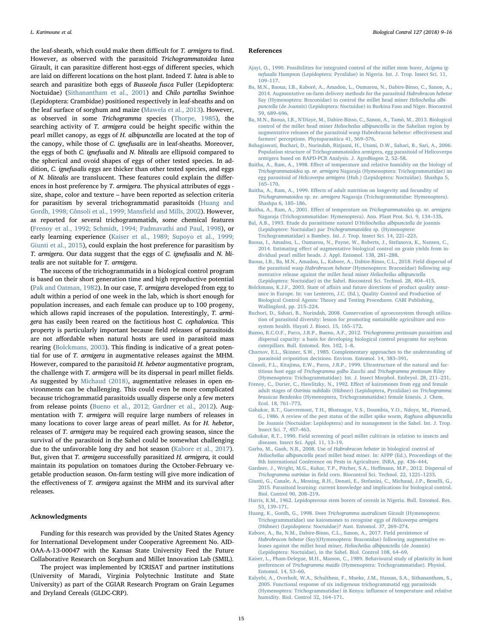the leaf-sheath, which could make them difficult for T. armigera to find. However, as observed with the parasitoid Trichogrammatoidea lutea Girault, it can parasitize different host-eggs of different species, which are laid on different locations on the host plant. Indeed T. lutea is able to search and parasitize both eggs of Busseola fusca Fuller (Lepidoptera: Noctuidae) ([Sithanantham et al., 2001](#page-7-15)) and Chilo partellus Swinhoe (Lepidoptera: Crambidae) positioned respectively in leaf-sheaths and on the leaf surface of sorghum and maize [\(Mawela et al., 2013](#page-7-16)). However, as observed in some Trichogramma species ([Thorpe, 1985](#page-7-17)), the searching activity of T. armigera could be height specific within the pearl millet canopy, as eggs of H. albipunctella are located at the top of the canopy, while those of C. ignefusalis are in leaf-sheaths. Moreover, the eggs of both C. ignefusalis and N. blitealis are ellipsoid compared to the spherical and ovoid shapes of eggs of other tested species. In addition, C. ignefusalis eggs are thicker than other tested species, and eggs of N. blitealis are translucent. These features could explain the differences in host preference by T. armigera. The physical attributes of eggs size, shape, color and texture – have been reported as selection criteria for parasitism by several trichogrammatid parasitoids ([Huang and](#page-6-11) [Gordh, 1998; Cônsoli et al., 1999; Mans](#page-6-11)field and Mills, 2002). However, as reported for several trichogrammatids, some chemical features ([Frenoy et al., 1992; Schmidt, 1994; Padmavathi and Paul, 1998\)](#page-6-12), or early learning experience [\(Kaiser et al., 1989; Supoyo et al., 1999;](#page-6-13) [Giunti et al., 2015\)](#page-6-13), could explain the host preference for parasitism by T. armigera. Our data suggest that the eggs of C. ignefusalis and N. blitealis are not suitable for T. armigera.

The success of the trichogrammatids in a biological control program is based on their short generation time and high reproductive potential ([Pak and Oatman, 1982\)](#page-7-18). In our case, T. armigera developed from egg to adult within a period of one week in the lab, which is short enough for population increases, and each female can produce up to 100 progeny, which allows rapid increases of the population. Interestingly, T. armigera has easily been reared on the factitious host C. cephalonica. This property is particularly important because field releases of parasitoids are not affordable when natural hosts are used in parasitoid mass rearing ([Bolckmans, 2003\)](#page-6-14). This finding is indicative of a great potential for use of T. armigera in augmentative releases against the MHM. However, compared to the parasitoid H. hebetor augmentative program, the challenge with T. armigera will be its dispersal in pearl millet fields. As suggested by [Michaud \(2018\),](#page-7-19) augmentative releases in open environments can be challenging. This could even be more complicated because trichogrammatid parasitoids usually disperse only a few meters from release points [\(Bueno et al., 2012; Gardner et al., 2012](#page-6-15)). Augmentation with T. armigera will require large numbers of releases in many locations to cover large areas of pearl millet. As for H. hebetor, releases of T. armigera may be required each growing season, since the survival of the parasitoid in the Sahel could be somewhat challenging due to the unfavorable long dry and hot season ([Kabore et al., 2017](#page-6-3)). But, given that T. armigera successfully parasitized H. armigera, it could maintain its population on tomatoes during the October-February vegetable production season. On-farm testing will give more indication of the effectiveness of T. armigera against the MHM and its survival after releases.

#### Acknowledgments

Funding for this research was provided by the United States Agency for International Development under Cooperative Agreement No. AID-OAA-A-13-00047 with the Kansas State University Feed the Future Collaborative Research on Sorghum and Millet Innovation Lab (SMIL).

The project was implemented by ICRISAT and partner institutions (University of Maradi, Virginia Polytechnic Institute and State University) as part of the CGIAR Research Program on Grain Legumes and Dryland Cereals (GLDC-CRP).

#### References

- [Ajayi, O., 1990. Possibilities for integrated control of the millet stem borer,](http://refhub.elsevier.com/S1049-9644(18)30419-5/h0005) Acigona ignefusalis [Hampson \(Lepidoptera: Pyralidae\) in Nigeria. Int. J. Trop. Insect Sci. 11,](http://refhub.elsevier.com/S1049-9644(18)30419-5/h0005) 109–[117](http://refhub.elsevier.com/S1049-9644(18)30419-5/h0005).
- [Ba, M.N., Baoua, I.B., Kaboré, A., Amadou, L., Oumarou, N., Dabire-Binso, C., Sanon, A.,](http://refhub.elsevier.com/S1049-9644(18)30419-5/h0010) [2014. Augmentative on-farm delivery methods for the parasitoid](http://refhub.elsevier.com/S1049-9644(18)30419-5/h0010) Habrobracon hebetor [Say \(Hymenoptera: Braconidae\) to control the millet head miner](http://refhub.elsevier.com/S1049-9644(18)30419-5/h0010) Heliocheilus albipunctella [\(de Joannis\) \(Lepidoptera: Noctuidae\) in Burkina Faso and Niger. Biocontrol](http://refhub.elsevier.com/S1049-9644(18)30419-5/h0010) [59, 689](http://refhub.elsevier.com/S1049-9644(18)30419-5/h0010)–696.
- Ba, M.N., Baoua, I.B., N'[Diaye, M., Dabire-Binso, C., Sanon, A., Tamò, M., 2013. Biological](http://refhub.elsevier.com/S1049-9644(18)30419-5/h0015) [control of the millet head miner](http://refhub.elsevier.com/S1049-9644(18)30419-5/h0015) Heliocheilus albipunctella in the Sahelian region by [augmentative releases of the parasitoid wasp Habrobracon hebetor: e](http://refhub.elsevier.com/S1049-9644(18)30419-5/h0015)ffectiveness and farmers' [perceptions. Phytoparasitica 41, 569](http://refhub.elsevier.com/S1049-9644(18)30419-5/h0015)–576.
- <span id="page-6-8"></span>[Bahagiawati, Buchari, D., Nurindah, Rizjaani, H., Utami, D.W., Sahari, B., Sari, A., 2006.](http://refhub.elsevier.com/S1049-9644(18)30419-5/h0020) [Population structure of Trichogrammatoidea armigera, egg parasitoid of Helicoverpa](http://refhub.elsevier.com/S1049-9644(18)30419-5/h0020) [armigera based on RAPD-PCR Analysis. J. AgroBiogen 2, 52](http://refhub.elsevier.com/S1049-9644(18)30419-5/h0020)–58.
- <span id="page-6-7"></span>Baitha, A., Ram, A., 1998. Eff[ect of temperature and relative humidity on the biology of](http://refhub.elsevier.com/S1049-9644(18)30419-5/h0025) Trichogrammatoidea sp. nr. armigera [Nagaraja \(Hymenoptera: Trichogrammatidae\) an](http://refhub.elsevier.com/S1049-9644(18)30419-5/h0025) egg parasitoid of Helicoverpa armigera [\(Hub.\) \(Lepidoptera: Noctuidae\). Shashpa 5,](http://refhub.elsevier.com/S1049-9644(18)30419-5/h0025) 165–[170](http://refhub.elsevier.com/S1049-9644(18)30419-5/h0025).
- Baitha, A., Ram, A., 1999. Eff[ects of adult nutrition on longevity and fecundity of](http://refhub.elsevier.com/S1049-9644(18)30419-5/h0030) Trichogrammatoidea sp. nr. armigera [Nagaraja \(Trichogrammatidae: Hymenoptera\).](http://refhub.elsevier.com/S1049-9644(18)30419-5/h0030) [Shashpa 6, 185](http://refhub.elsevier.com/S1049-9644(18)30419-5/h0030)–186.
- [Baitha, A., Ram, A., 2001. E](http://refhub.elsevier.com/S1049-9644(18)30419-5/h0035)ffect of temperature on Trichogrammatoidea sp. nr. armigera [Nagaraja \(Trichogrammatidae: Hymenoptera\). Ann. Plant Prot. Sci. 9, 134](http://refhub.elsevier.com/S1049-9644(18)30419-5/h0035)–135.
- <span id="page-6-2"></span>[Bal, A.B., 1993. Etude du parasitisme naturel D](http://refhub.elsevier.com/S1049-9644(18)30419-5/h0040)'Heliocheilus albipunctella de joannis [\(Lepidoptere: Noctuidae\) par](http://refhub.elsevier.com/S1049-9644(18)30419-5/h0040) Trichogrammatoïdea sp. (Hymenoptere: [Trichogrammatidae\) a Bambey. Int. J. Trop. Insect Sci. 14, 221](http://refhub.elsevier.com/S1049-9644(18)30419-5/h0040)–223.
- [Baoua, I., Amadou, L., Oumarou, N., Payne, W., Roberts, J., Stefanova, K., Nansen, C.,](http://refhub.elsevier.com/S1049-9644(18)30419-5/h0045) 2014. Estimating eff[ect of augmentative biological control on grain yields from in](http://refhub.elsevier.com/S1049-9644(18)30419-5/h0045)[dividual pearl millet heads. J. Appl. Entomol. 138, 281](http://refhub.elsevier.com/S1049-9644(18)30419-5/h0045)–288.
- [Baoua, I.B., Ba, M.N., Amadou, L., Kabore, A., Dabire-Binso, C.L., 2018. Field dispersal of](http://refhub.elsevier.com/S1049-9644(18)30419-5/h0050) the parasitoid wasp Habrobracon hebetor [\(Hymenoptera: Braconidae\) following aug](http://refhub.elsevier.com/S1049-9644(18)30419-5/h0050)[mentative release against the millet head miner](http://refhub.elsevier.com/S1049-9644(18)30419-5/h0050) Heliocheilus albipunctella [\(Lepidoptera: Noctuidae\) in the Sahel. Biocontrol Sci. Technol. 28, 404](http://refhub.elsevier.com/S1049-9644(18)30419-5/h0050)–415.
- <span id="page-6-14"></span>Bolckmans, K.J.F., 2003. State of aff[airs and future directions of product quality assur](http://refhub.elsevier.com/S1049-9644(18)30419-5/h0055)[ance in Europe. In: van Lenteren, J.C. \(Ed.\), Quality Control and Production of](http://refhub.elsevier.com/S1049-9644(18)30419-5/h0055) [Biological Control Agents: Theory and Testing Procedures. CABI Publishing,](http://refhub.elsevier.com/S1049-9644(18)30419-5/h0055) [Wallingford, pp. 215](http://refhub.elsevier.com/S1049-9644(18)30419-5/h0055)–224.
- <span id="page-6-10"></span>[Buchori, D., Sahari, B., Nurindah, 2008. Conservation of agroecosystem through utiliza](http://refhub.elsevier.com/S1049-9644(18)30419-5/h0060)[tion of parasitoid diversity: lesson for promoting sustainable agriculture and eco](http://refhub.elsevier.com/S1049-9644(18)30419-5/h0060)[system health. Hayati J. Biosci. 15, 165](http://refhub.elsevier.com/S1049-9644(18)30419-5/h0060)–172.
- <span id="page-6-15"></span>[Bueno, R.C.O.F., Parra, J.R.P., Bueno, A.F., 2012.](http://refhub.elsevier.com/S1049-9644(18)30419-5/h0065) Trichogramma pretiosum parasitism and [dispersal capacity: a basis for developing biological control programs for soybean](http://refhub.elsevier.com/S1049-9644(18)30419-5/h0065) [caterpillars. Bull. Entomol. Res. 102, 1](http://refhub.elsevier.com/S1049-9644(18)30419-5/h0065)–8.
- <span id="page-6-9"></span>[Charnov, E.L., Skinner, S.W., 1985. Complementary approaches to the understanding of](http://refhub.elsevier.com/S1049-9644(18)30419-5/h0070) [parasitoid oviposition decisions. Environ. Entomol. 14, 383](http://refhub.elsevier.com/S1049-9644(18)30419-5/h0070)–391.
- [Cônsoli, F.L., Kitajima, E.W., Parra, J.R.P., 1999. Ultrastructure of the natural and fac](http://refhub.elsevier.com/S1049-9644(18)30419-5/h0075)titious host eggs of Trichogramma galho Zucchi and [Trichogramma pretiosum](http://refhub.elsevier.com/S1049-9644(18)30419-5/h0075) Riley [\(Hymenoptera: Trichogrammatidae\). Int. J. Insect Morphol. Embryol. 28, 211](http://refhub.elsevier.com/S1049-9644(18)30419-5/h0075)–231.
- <span id="page-6-12"></span>[Frenoy, C., Durier, C., Hawlitzky, N., 1992. E](http://refhub.elsevier.com/S1049-9644(18)30419-5/h0080)ffect of kairomones from egg and female adult stages of Ostrinia nubilalis [\(Hübner\) \(Lepidoptera, Pyralidae\) on](http://refhub.elsevier.com/S1049-9644(18)30419-5/h0080) Trichogramma brassicae [Bezdenko \(Hymenoptera, Trichogrammatidae\) female kinesis. J. Chem.](http://refhub.elsevier.com/S1049-9644(18)30419-5/h0080) [Ecol. 18, 761](http://refhub.elsevier.com/S1049-9644(18)30419-5/h0080)–773.
- <span id="page-6-1"></span>[Gahukar, R.T., Guevremont, T.H., Bhatnagar, V.S., Doumbia, Y.O., Ndoye, M., Pierrard,](http://refhub.elsevier.com/S1049-9644(18)30419-5/h0085) [G., 1986. A review of the pest status of the millet spike worm,](http://refhub.elsevier.com/S1049-9644(18)30419-5/h0085) Raghuva albipunctella [De Joannis \(Noctuidae: Lepidoptera\) and its management in the Sahel. Int. J. Trop.](http://refhub.elsevier.com/S1049-9644(18)30419-5/h0085) [Insect Sci. 7, 457](http://refhub.elsevier.com/S1049-9644(18)30419-5/h0085)–463.
- <span id="page-6-5"></span>[Gahukar, R.T., 1990. Field screening of pearl millet cultivars in relation to insects and](http://refhub.elsevier.com/S1049-9644(18)30419-5/h0090) [diseases. Insect Sci. Appl. 11, 13](http://refhub.elsevier.com/S1049-9644(18)30419-5/h0090)–19.
- <span id="page-6-4"></span>[Garba, M., Gaoh, N.B., 2008. Use of](http://refhub.elsevier.com/S1049-9644(18)30419-5/h0095) Habrobracon hebetor in biological control of Heliocheilus albipunctella [pearl millet head miner. In: AFPP \(Ed.\), Proceedings of the](http://refhub.elsevier.com/S1049-9644(18)30419-5/h0095) [8th International Conference on Pests in Agriculture. INRA, pp. 436](http://refhub.elsevier.com/S1049-9644(18)30419-5/h0095)–444.
- [Gardner, J., Wright, M.G., Kuhar, T.P., Pitcher, S.A., Ho](http://refhub.elsevier.com/S1049-9644(18)30419-5/h0100)ffmann, M.P., 2012. Dispersal of Trichogramma ostriniae in fi[eld corn. Biocontrol Sci. Technol. 22, 1221](http://refhub.elsevier.com/S1049-9644(18)30419-5/h0100)–1233.
- [Giunti, G., Canale, A., Messing, R.H., Donati, E., Stefanini, C., Michaud, J.P., Benelli, G.,](http://refhub.elsevier.com/S1049-9644(18)30419-5/h0105) [2015. Parasitoid learning: current knowledge and implications for biological control.](http://refhub.elsevier.com/S1049-9644(18)30419-5/h0105) [Biol. Control 90, 208](http://refhub.elsevier.com/S1049-9644(18)30419-5/h0105)–219.
- <span id="page-6-0"></span>[Harris, K.M., 1962. Lepidopterous stem borers of cereals in Nigeria. Bull. Entomol. Res.](http://refhub.elsevier.com/S1049-9644(18)30419-5/h0110) [53, 139](http://refhub.elsevier.com/S1049-9644(18)30419-5/h0110)–171.
- <span id="page-6-11"></span>[Huang, K., Gordh, G., 1998. Does](http://refhub.elsevier.com/S1049-9644(18)30419-5/h0115) Trichogramma australicum Girault (Hymenoptera: [Trichogrammatidae\) use kairomones to recognise eggs of](http://refhub.elsevier.com/S1049-9644(18)30419-5/h0115) Helicoverpa armigera [\(Hübner\) \(Lepidoptera: Noctuidae\)? Aust. Entomol. 37, 269](http://refhub.elsevier.com/S1049-9644(18)30419-5/h0115)–274.
- <span id="page-6-3"></span>Kabore, [A., Ba, N.M., Dabire-Binso, C.L., Sanon, A., 2017. Field persistence of](http://refhub.elsevier.com/S1049-9644(18)30419-5/h0120) Habrobracon hebetor [\(Say\)\(Hymenoptera: Braconidae\) following augmentative re](http://refhub.elsevier.com/S1049-9644(18)30419-5/h0120)[leases against the millet head miner,](http://refhub.elsevier.com/S1049-9644(18)30419-5/h0120) Heliocheilus albipunctella (de Joannis) [\(Lepidoptera: Noctuidae\), in the Sahel. Biol. Control 108, 64](http://refhub.elsevier.com/S1049-9644(18)30419-5/h0120)–69.
- <span id="page-6-13"></span>[Kaiser, L., Pham-Delegue, M.H., Masson, C., 1989. Behavioural study of plasticity in host](http://refhub.elsevier.com/S1049-9644(18)30419-5/h0125) preferences of Trichogramma maidis [\(Hymenoptera: Trichogrammatidae\). Physiol.](http://refhub.elsevier.com/S1049-9644(18)30419-5/h0125) [Entomol. 14, 53](http://refhub.elsevier.com/S1049-9644(18)30419-5/h0125)–60.
- <span id="page-6-6"></span>[Kalyebi, A., Overholt, W.A., Schulthess, F., Mueke, J.M., Hassan, S.A., Sithanantham, S.,](http://refhub.elsevier.com/S1049-9644(18)30419-5/h0130) [2005. Functional response of six indigenous trichogrammatid egg parasitoids](http://refhub.elsevier.com/S1049-9644(18)30419-5/h0130) [\(Hymenoptera: Trichogrammatidae\) in Kenya: in](http://refhub.elsevier.com/S1049-9644(18)30419-5/h0130)fluence of temperature and relative [humidity. Biol. Control 32, 164](http://refhub.elsevier.com/S1049-9644(18)30419-5/h0130)–171.